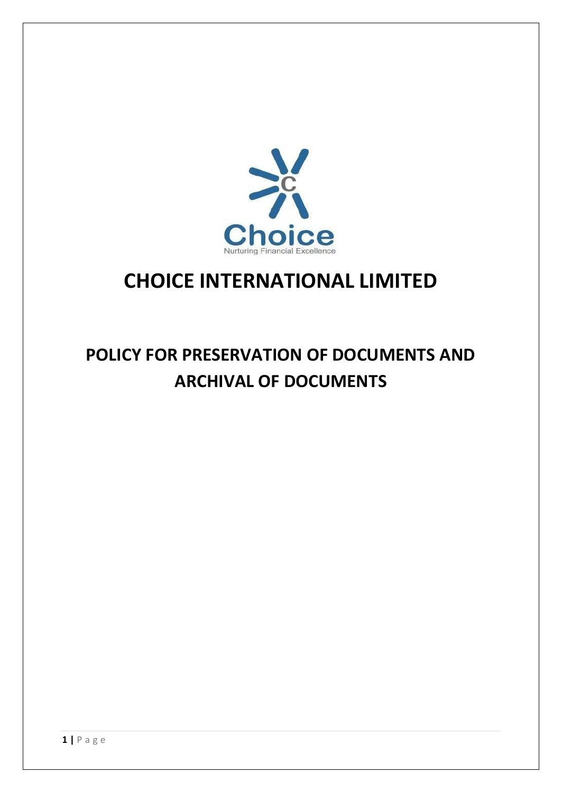

# **CHOICE INTERNATIONAL LIMITED**

# **POLICY FOR PRESERVATION OF DOCUMENTS AND ARCHIVAL OF DOCUMENTS**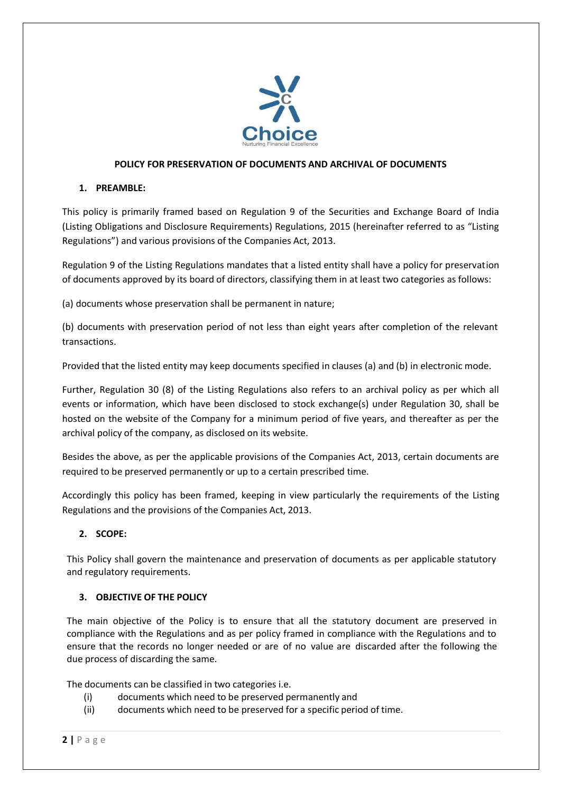

### **POLICY FOR PRESERVATION OF DOCUMENTS AND ARCHIVAL OF DOCUMENTS**

## **1. PREAMBLE:**

This policy is primarily framed based on Regulation 9 of the Securities and Exchange Board of India (Listing Obligations and Disclosure Requirements) Regulations, 2015 (hereinafter referred to as "Listing Regulations") and various provisions of the Companies Act, 2013.

Regulation 9 of the Listing Regulations mandates that a listed entity shall have a policy for preservation of documents approved by its board of directors, classifying them in at least two categories as follows:

(a) documents whose preservation shall be permanent in nature;

(b) documents with preservation period of not less than eight years after completion of the relevant transactions.

Provided that the listed entity may keep documents specified in clauses (a) and (b) in electronic mode.

Further, Regulation 30 (8) of the Listing Regulations also refers to an archival policy as per which all events or information, which have been disclosed to stock exchange(s) under Regulation 30, shall be hosted on the website of the Company for a minimum period of five years, and thereafter as per the archival policy of the company, as disclosed on its website.

Besides the above, as per the applicable provisions of the Companies Act, 2013, certain documents are required to be preserved permanently or up to a certain prescribed time.

Accordingly this policy has been framed, keeping in view particularly the requirements of the Listing Regulations and the provisions of the Companies Act, 2013.

## **2. SCOPE:**

This Policy shall govern the maintenance and preservation of documents as per applicable statutory and regulatory requirements.

#### **3. OBJECTIVE OF THE POLICY**

The main objective of the Policy is to ensure that all the statutory document are preserved in compliance with the Regulations and as per policy framed in compliance with the Regulations and to ensure that the records no longer needed or are of no value are discarded after the following the due process of discarding the same.

The documents can be classified in two categories i.e.

- (i) documents which need to be preserved permanently and
- (ii) documents which need to be preserved for a specific period of time.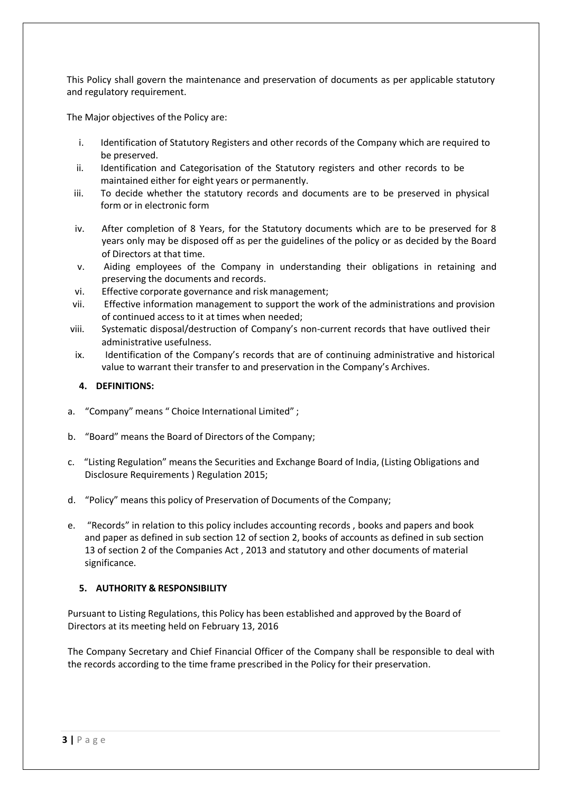This Policy shall govern the maintenance and preservation of documents as per applicable statutory and regulatory requirement.

The Major objectives of the Policy are:

- i. Identification of Statutory Registers and other records of the Company which are required to be preserved.
- ii. Identification and Categorisation of the Statutory registers and other records to be maintained either for eight years or permanently.
- iii. To decide whether the statutory records and documents are to be preserved in physical form or in electronic form
- iv. After completion of 8 Years, for the Statutory documents which are to be preserved for 8 years only may be disposed off as per the guidelines of the policy or as decided by the Board of Directors at that time.
- v. Aiding employees of the Company in understanding their obligations in retaining and preserving the documents and records.
- vi. Effective corporate governance and risk management;
- vii. Effective information management to support the work of the administrations and provision of continued access to it at times when needed;
- viii. Systematic disposal/destruction of Company's non-current records that have outlived their administrative usefulness.
- ix. Identification of the Company's records that are of continuing administrative and historical value to warrant their transfer to and preservation in the Company's Archives.

#### **4. DEFINITIONS:**

- a. "Company" means " Choice International Limited";
- b. "Board" means the Board of Directors of the Company;
- c. "Listing Regulation" meansthe Securities and Exchange Board of India, (Listing Obligations and Disclosure Requirements ) Regulation 2015;
- d. "Policy" means this policy of Preservation of Documents of the Company;
- e. "Records" in relation to this policy includes accounting records , books and papers and book and paper as defined in sub section 12 of section 2, books of accounts as defined in sub section 13 of section 2 of the Companies Act , 2013 and statutory and other documents of material significance.

#### **5. AUTHORITY & RESPONSIBILITY**

Pursuant to Listing Regulations, this Policy has been established and approved by the Board of Directors at its meeting held on February 13, 2016

The Company Secretary and Chief Financial Officer of the Company shall be responsible to deal with the records according to the time frame prescribed in the Policy for their preservation.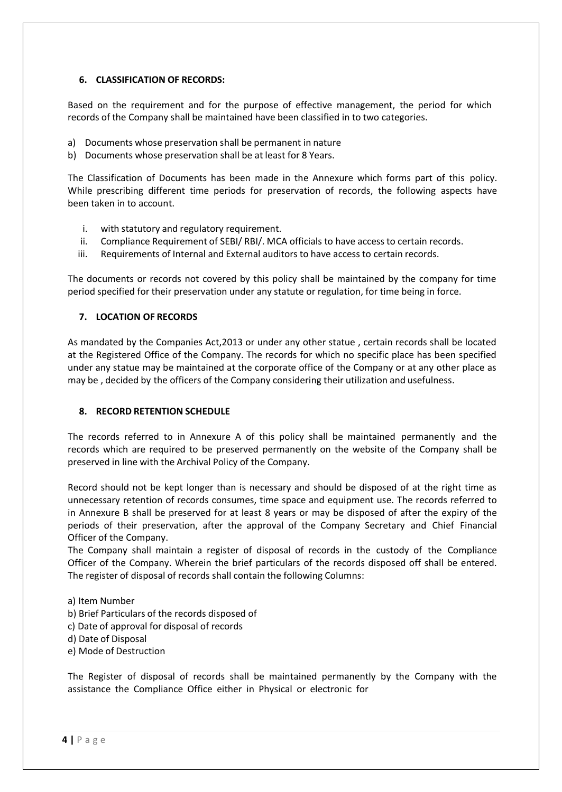## **6. CLASSIFICATION OF RECORDS:**

Based on the requirement and for the purpose of effective management, the period for which records of the Company shall be maintained have been classified in to two categories.

- a) Documents whose preservation shall be permanent in nature
- b) Documents whose preservation shall be at least for 8 Years.

The Classification of Documents has been made in the Annexure which forms part of this policy. While prescribing different time periods for preservation of records, the following aspects have been taken in to account.

- i. with statutory and regulatory requirement.
- ii. Compliance Requirement of SEBI/ RBI/. MCA officials to have access to certain records.
- iii. Requirements of Internal and External auditors to have access to certain records.

The documents or records not covered by this policy shall be maintained by the company for time period specified for their preservation under any statute or regulation, for time being in force.

## **7. LOCATION OF RECORDS**

As mandated by the Companies Act,2013 or under any other statue , certain records shall be located at the Registered Office of the Company. The records for which no specific place has been specified under any statue may be maintained at the corporate office of the Company or at any other place as may be , decided by the officers of the Company considering their utilization and usefulness.

#### **8. RECORD RETENTION SCHEDULE**

The records referred to in Annexure A of this policy shall be maintained permanently and the records which are required to be preserved permanently on the website of the Company shall be preserved in line with the Archival Policy of the Company.

Record should not be kept longer than is necessary and should be disposed of at the right time as unnecessary retention of records consumes, time space and equipment use. The records referred to in Annexure B shall be preserved for at least 8 years or may be disposed of after the expiry of the periods of their preservation, after the approval of the Company Secretary and Chief Financial Officer of the Company.

The Company shall maintain a register of disposal of records in the custody of the Compliance Officer of the Company. Wherein the brief particulars of the records disposed off shall be entered. The register of disposal of records shall contain the following Columns:

- a) Item Number b) Brief Particulars of the records disposed of c) Date of approval for disposal of records d) Date of Disposal e) Mode of Destruction
- The Register of disposal of records shall be maintained permanently by the Company with the assistance the Compliance Office either in Physical or electronic for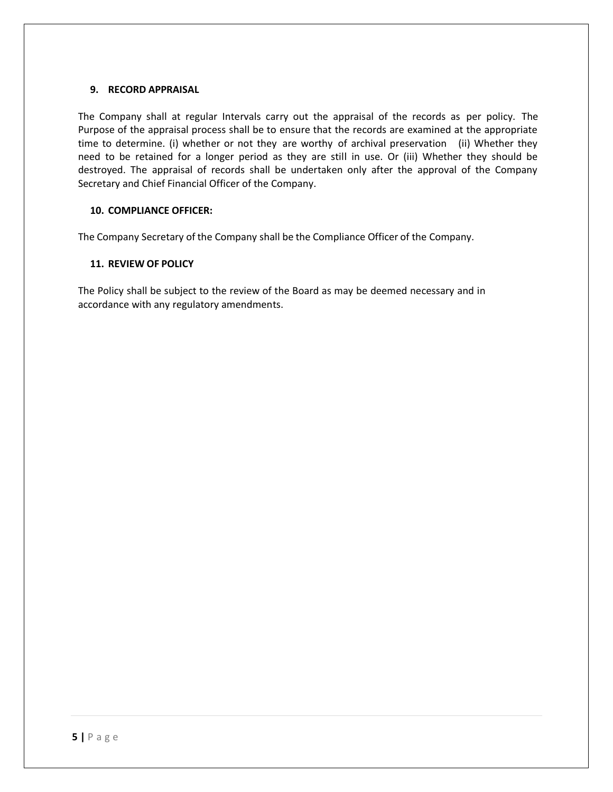#### **9. RECORD APPRAISAL**

The Company shall at regular Intervals carry out the appraisal of the records as per policy. The Purpose of the appraisal process shall be to ensure that the records are examined at the appropriate time to determine. (i) whether or not they are worthy of archival preservation (ii) Whether they need to be retained for a longer period as they are still in use. Or (iii) Whether they should be destroyed. The appraisal of records shall be undertaken only after the approval of the Company Secretary and Chief Financial Officer of the Company.

#### **10. COMPLIANCE OFFICER:**

The Company Secretary of the Company shall be the Compliance Officer of the Company.

#### **11. REVIEW OF POLICY**

The Policy shall be subject to the review of the Board as may be deemed necessary and in accordance with any regulatory amendments.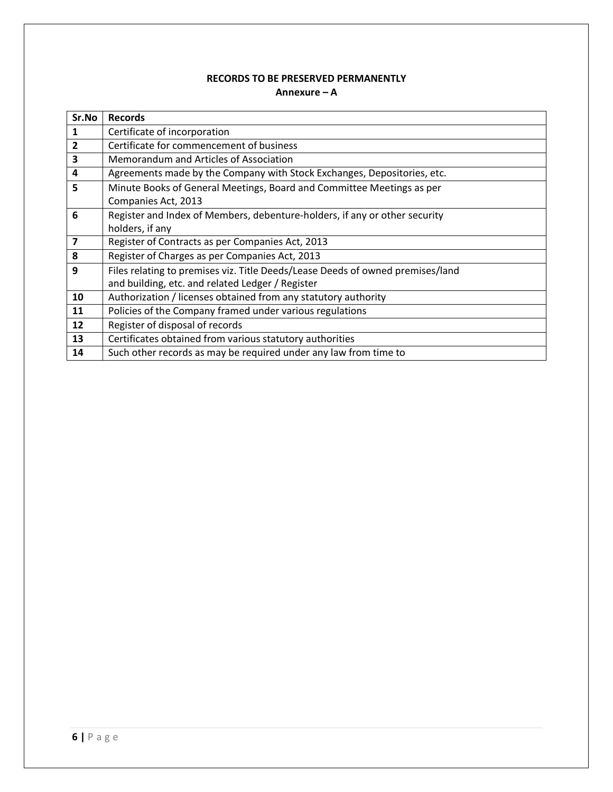## **RECORDS TO BE PRESERVED PERMANENTLY Annexure – A**

| Sr.No                   | <b>Records</b>                                                                 |
|-------------------------|--------------------------------------------------------------------------------|
| 1                       | Certificate of incorporation                                                   |
| $\overline{2}$          | Certificate for commencement of business                                       |
| 3                       | Memorandum and Articles of Association                                         |
| 4                       | Agreements made by the Company with Stock Exchanges, Depositories, etc.        |
| 5                       | Minute Books of General Meetings, Board and Committee Meetings as per          |
|                         | Companies Act, 2013                                                            |
| 6                       | Register and Index of Members, debenture-holders, if any or other security     |
|                         | holders, if any                                                                |
| $\overline{\mathbf{z}}$ | Register of Contracts as per Companies Act, 2013                               |
| 8                       | Register of Charges as per Companies Act, 2013                                 |
| 9                       | Files relating to premises viz. Title Deeds/Lease Deeds of owned premises/land |
|                         | and building, etc. and related Ledger / Register                               |
| 10                      | Authorization / licenses obtained from any statutory authority                 |
| 11                      | Policies of the Company framed under various regulations                       |
| 12                      | Register of disposal of records                                                |
| 13                      | Certificates obtained from various statutory authorities                       |
| 14                      | Such other records as may be required under any law from time to               |